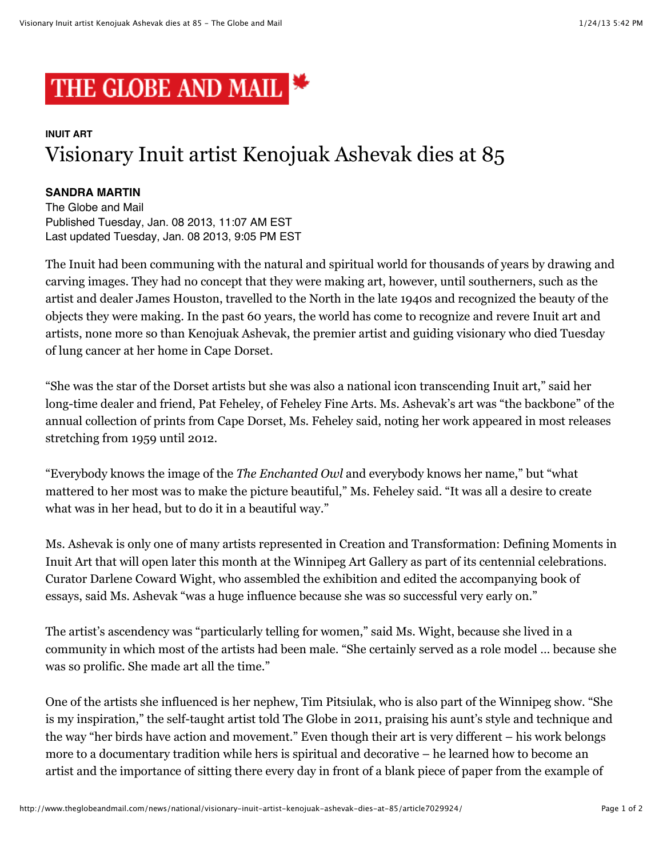

## **INUIT ART** Visionary Inuit artist Kenojuak Ashevak dies at 85

## **SANDRA MARTIN**

The Globe and Mail Published Tuesday, Jan. 08 2013, 11:07 AM EST Last updated Tuesday, Jan. 08 2013, 9:05 PM EST

The Inuit had been communing with the natural and spiritual world for thousands of years by drawing and carving images. They had no concept that they were making art, however, until southerners, such as the artist and dealer James Houston, travelled to the North in the late 1940s and recognized the beauty of the objects they were making. In the past 60 years, the world has come to recognize and revere Inuit art and artists, none more so than Kenojuak Ashevak, the premier artist and guiding visionary who died Tuesday of lung cancer at her home in Cape Dorset.

"She was the star of the Dorset artists but she was also a national icon transcending Inuit art," said her long-time dealer and friend, Pat Feheley, of Feheley Fine Arts. Ms. Ashevak's art was "the backbone" of the annual collection of prints from Cape Dorset, Ms. Feheley said, noting her work appeared in most releases stretching from 1959 until 2012.

"Everybody knows the image of the *The Enchanted Owl* and everybody knows her name," but "what mattered to her most was to make the picture beautiful," Ms. Feheley said. "It was all a desire to create what was in her head, but to do it in a beautiful way."

Ms. Ashevak is only one of many artists represented in Creation and Transformation: Defining Moments in Inuit Art that will open later this month at the Winnipeg Art Gallery as part of its centennial celebrations. Curator Darlene Coward Wight, who assembled the exhibition and edited the accompanying book of essays, said Ms. Ashevak "was a huge influence because she was so successful very early on."

The artist's ascendency was "particularly telling for women," said Ms. Wight, because she lived in a community in which most of the artists had been male. "She certainly served as a role model … because she was so prolific. She made art all the time."

One of the artists she influenced is her nephew, Tim Pitsiulak, who is also part of the Winnipeg show. "She is my inspiration," the self-taught artist told The Globe in 2011, praising his aunt's style and technique and the way "her birds have action and movement." Even though their art is very different – his work belongs more to a documentary tradition while hers is spiritual and decorative – he learned how to become an artist and the importance of sitting there every day in front of a blank piece of paper from the example of